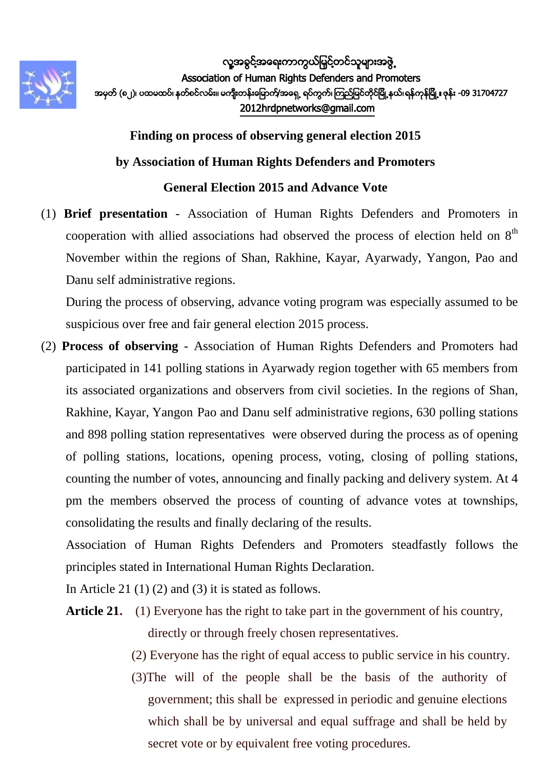

**Finding on process of observing general election 2015 by Association of Human Rights Defenders and Promoters General Election 2015 and Advance Vote**

(1) **Brief presentation** - Association of Human Rights Defenders and Promoters in cooperation with allied associations had observed the process of election held on  $8<sup>th</sup>$ November within the regions of Shan, Rakhine, Kayar, Ayarwady, Yangon, Pao and Danu self administrative regions.

During the process of observing, advance voting program was especially assumed to be suspicious over free and fair general election 2015 process.

(2) **Process of observing** - Association of Human Rights Defenders and Promoters had participated in 141 polling stations in Ayarwady region together with 65 members from its associated organizations and observers from civil societies. In the regions of Shan, Rakhine, Kayar, Yangon Pao and Danu self administrative regions, 630 polling stations and 898 polling station representatives were observed during the process as of opening of polling stations, locations, opening process, voting, closing of polling stations, counting the number of votes, announcing and finally packing and delivery system. At 4 pm the members observed the process of counting of advance votes at townships, consolidating the results and finally declaring of the results.

Association of Human Rights Defenders and Promoters steadfastly follows the principles stated in International Human Rights Declaration.

In Article 21 (1) (2) and (3) it is stated as follows.

- Article 21. (1) Everyone has the right to take part in the government of his country, directly or through freely chosen representatives.
	- (2) Everyone has the right of equal access to public service in his country.
	- (3)The will of the people shall be the basis of the authority of government; this shall be expressed in periodic and genuine elections which shall be by universal and equal suffrage and shall be held by secret vote or by equivalent free voting procedures.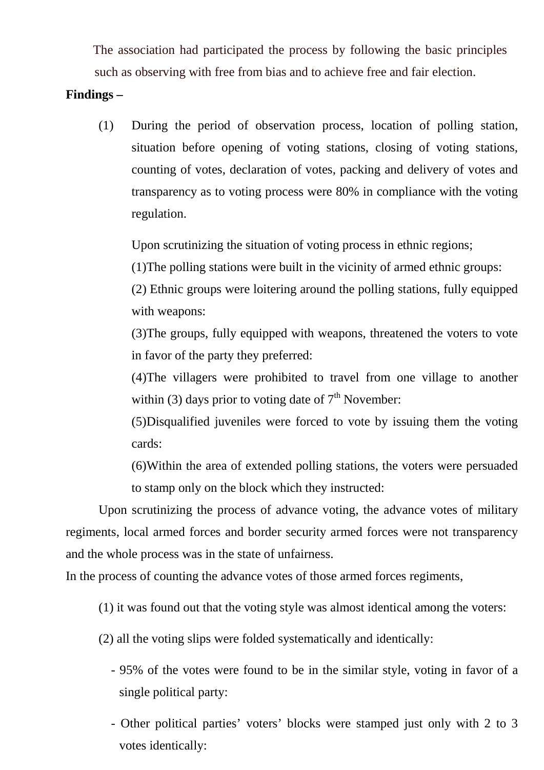The association had participated the process by following the basic principles such as observing with free from bias and to achieve free and fair election.

## **Findings –**

(1) During the period of observation process, location of polling station, situation before opening of voting stations, closing of voting stations, counting of votes, declaration of votes, packing and delivery of votes and transparency as to voting process were 80% in compliance with the voting regulation.

Upon scrutinizing the situation of voting process in ethnic regions;

(1)The polling stations were built in the vicinity of armed ethnic groups:

(2) Ethnic groups were loitering around the polling stations, fully equipped with weapons:

(3)The groups, fully equipped with weapons, threatened the voters to vote in favor of the party they preferred:

(4)The villagers were prohibited to travel from one village to another within (3) days prior to voting date of  $7<sup>th</sup>$  November:

(5)Disqualified juveniles were forced to vote by issuing them the voting cards:

(6)Within the area of extended polling stations, the voters were persuaded to stamp only on the block which they instructed:

Upon scrutinizing the process of advance voting, the advance votes of military regiments, local armed forces and border security armed forces were not transparency and the whole process was in the state of unfairness.

In the process of counting the advance votes of those armed forces regiments,

(1) it was found out that the voting style was almost identical among the voters:

(2) all the voting slips were folded systematically and identically:

- 95% of the votes were found to be in the similar style, voting in favor of a single political party:
- Other political parties' voters' blocks were stamped just only with 2 to 3 votes identically: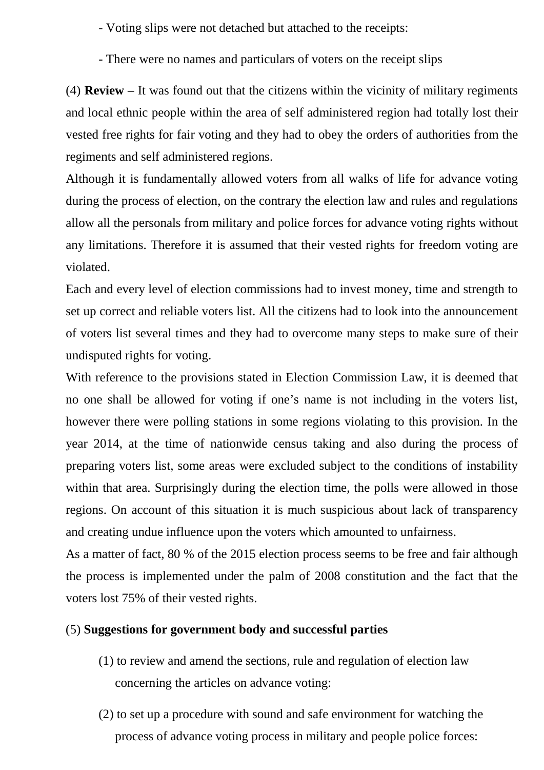- Voting slips were not detached but attached to the receipts:

- There were no names and particulars of voters on the receipt slips

(4) **Review** – It was found out that the citizens within the vicinity of military regiments and local ethnic people within the area of self administered region had totally lost their vested free rights for fair voting and they had to obey the orders of authorities from the regiments and self administered regions.

Although it is fundamentally allowed voters from all walks of life for advance voting during the process of election, on the contrary the election law and rules and regulations allow all the personals from military and police forces for advance voting rights without any limitations. Therefore it is assumed that their vested rights for freedom voting are violated.

Each and every level of election commissions had to invest money, time and strength to set up correct and reliable voters list. All the citizens had to look into the announcement of voters list several times and they had to overcome many steps to make sure of their undisputed rights for voting.

With reference to the provisions stated in Election Commission Law, it is deemed that no one shall be allowed for voting if one's name is not including in the voters list, however there were polling stations in some regions violating to this provision. In the year 2014, at the time of nationwide census taking and also during the process of preparing voters list, some areas were excluded subject to the conditions of instability within that area. Surprisingly during the election time, the polls were allowed in those regions. On account of this situation it is much suspicious about lack of transparency and creating undue influence upon the voters which amounted to unfairness.

As a matter of fact, 80 % of the 2015 election process seems to be free and fair although the process is implemented under the palm of 2008 constitution and the fact that the voters lost 75% of their vested rights.

## (5) **Suggestions for government body and successful parties**

- (1) to review and amend the sections, rule and regulation of election law concerning the articles on advance voting:
- (2) to set up a procedure with sound and safe environment for watching the process of advance voting process in military and people police forces: